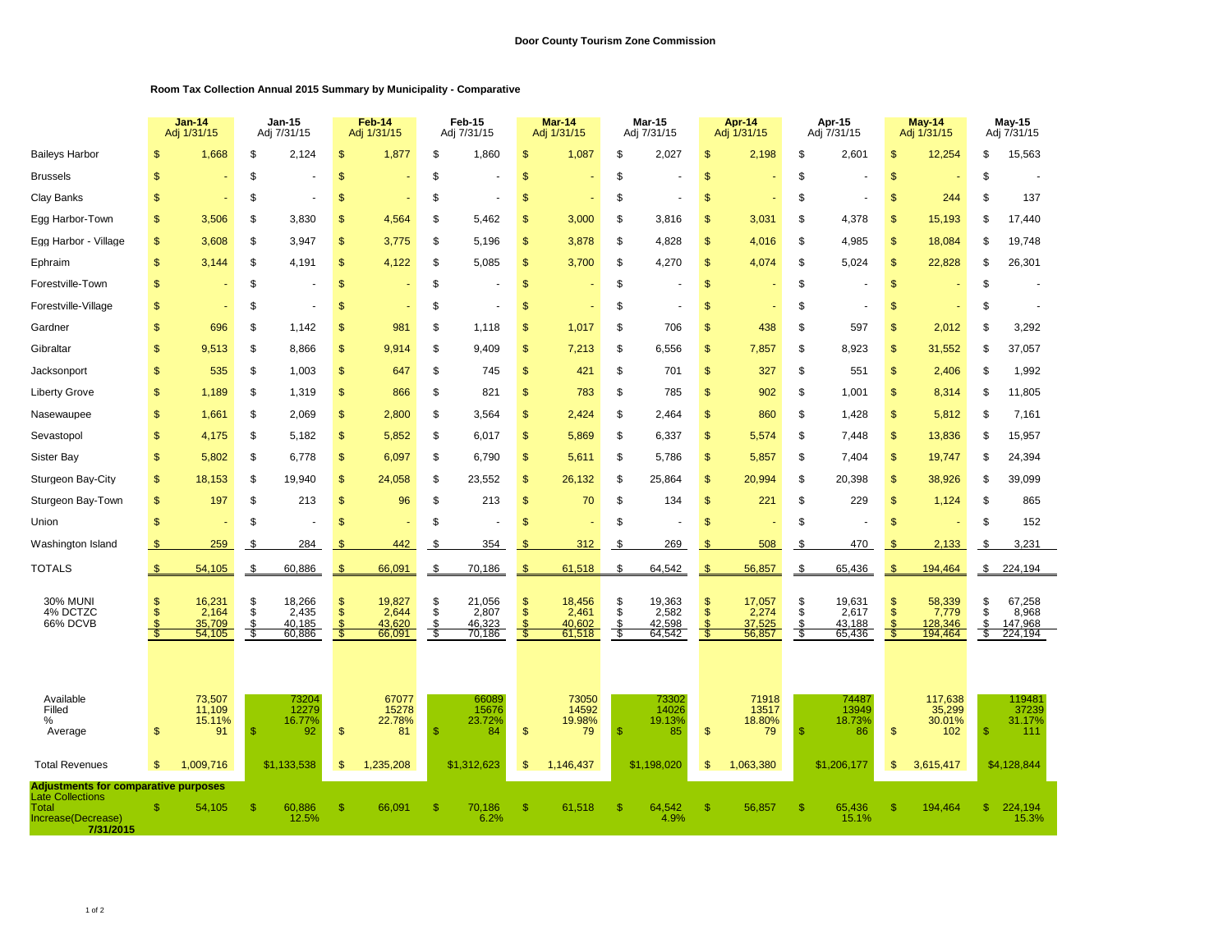## **Room Tax Collection Annual 2015 Summary by Municipality - Comparative**

|                                                                                                                    |                | <b>Jan-14</b><br>Adj 1/31/15        |                      | <b>Jan-15</b><br>Adj 7/31/15        |                                            | Feb-14<br>Adj 1/31/15               |                         | Feb-15<br>Adj 7/31/15               |                           | Mar-14<br>Adj 1/31/15               |                      | <b>Mar-15</b><br>Adj 7/31/15        |                           | Apr-14<br>Adj 1/31/15               |                      | Apr-15<br>Adj 7/31/15               |                          | May-14<br>Adj 1/31/15                 |                      | May-15<br>Adj 7/31/15                 |  |
|--------------------------------------------------------------------------------------------------------------------|----------------|-------------------------------------|----------------------|-------------------------------------|--------------------------------------------|-------------------------------------|-------------------------|-------------------------------------|---------------------------|-------------------------------------|----------------------|-------------------------------------|---------------------------|-------------------------------------|----------------------|-------------------------------------|--------------------------|---------------------------------------|----------------------|---------------------------------------|--|
| <b>Baileys Harbor</b>                                                                                              | \$             | 1,668                               | \$                   | 2,124                               | \$                                         | 1,877                               | \$                      | 1,860                               | $\mathfrak{s}$            | 1,087                               | \$                   | 2,027                               | \$                        | 2,198                               | \$                   | 2,601                               | \$                       | 12,254                                | \$                   | 15,563                                |  |
| <b>Brussels</b>                                                                                                    | $\mathsf{\$}$  |                                     | \$                   |                                     | $\mathsf{\$}$                              |                                     | \$                      |                                     | $\frac{1}{2}$             |                                     | \$                   |                                     | $\mathbf{s}$              |                                     | \$                   |                                     | $\mathsf{\$}$            |                                       | \$                   |                                       |  |
| Clay Banks                                                                                                         | $\mathfrak{s}$ |                                     | \$                   |                                     | S                                          |                                     | \$                      |                                     | $\mathfrak{s}$            |                                     | S                    |                                     | <sup>\$</sup>             |                                     | \$                   |                                     | $\mathbb{S}$             | 244                                   | \$                   | 137                                   |  |
| Egg Harbor-Town                                                                                                    | \$             | 3,506                               | \$                   | 3,830                               | \$                                         | 4,564                               | \$                      | 5,462                               | \$                        | 3,000                               | \$                   | 3,816                               | \$                        | 3,031                               | \$                   | 4,378                               | <sup>\$</sup>            | 15,193                                | \$                   | 17,440                                |  |
| Egg Harbor - Village                                                                                               | \$             | 3,608                               | \$                   | 3,947                               | \$                                         | 3,775                               | \$                      | 5,196                               | \$                        | 3,878                               | \$                   | 4,828                               | \$                        | 4,016                               | \$                   | 4,985                               | \$                       | 18,084                                | \$                   | 19,748                                |  |
| Ephraim                                                                                                            | \$             | 3,144                               | \$                   | 4.191                               | \$                                         | 4,122                               | \$                      | 5,085                               | $\frac{1}{2}$             | 3,700                               | \$                   | 4,270                               | \$                        | 4.074                               | \$                   | 5,024                               | \$                       | 22,828                                | \$                   | 26,301                                |  |
| Forestville-Town                                                                                                   | \$             |                                     | \$                   |                                     | \$                                         |                                     | \$                      |                                     | $\frac{1}{2}$             |                                     | \$                   |                                     | \$                        |                                     | \$                   |                                     | \$                       |                                       | \$                   |                                       |  |
| Forestville-Village                                                                                                | \$             |                                     | \$                   |                                     | \$                                         |                                     | \$                      |                                     | $\mathfrak{s}$            |                                     | \$                   |                                     | \$                        |                                     | \$                   |                                     | <sup>\$</sup>            |                                       | \$                   |                                       |  |
| Gardner                                                                                                            | $\mathsf{\$}$  | 696                                 | \$                   | 1,142                               | \$                                         | 981                                 | \$                      | 1,118                               | \$                        | 1,017                               | \$                   | 706                                 | \$                        | 438                                 | \$                   | 597                                 | $\mathbf{s}$             | 2,012                                 | \$                   | 3,292                                 |  |
| Gibraltar                                                                                                          | $\mathsf{\$}$  | 9,513                               | \$                   | 8,866                               | \$                                         | 9,914                               | \$                      | 9,409                               | $\mathsf{\$}$             | 7,213                               | \$                   | 6,556                               | $\mathsf{\$}$             | 7,857                               | \$                   | 8,923                               | $\mathsf{\$}$            | 31,552                                | \$                   | 37,057                                |  |
| Jacksonport                                                                                                        | $\mathfrak{s}$ | 535                                 | \$                   | 1,003                               | $\mathbb{S}$                               | 647                                 | \$                      | 745                                 | $\mathfrak{s}$            | 421                                 | \$                   | 701                                 | <sup>\$</sup>             | 327                                 | \$                   | 551                                 | $\mathbb{S}$             | 2,406                                 | \$                   | 1,992                                 |  |
| <b>Liberty Grove</b>                                                                                               | \$             | 1,189                               | \$                   | 1,319                               | \$                                         | 866                                 | \$                      | 821                                 | $\frac{1}{2}$             | 783                                 | \$                   | 785                                 | \$                        | 902                                 | \$                   | 1,001                               | $\mathsf{\$}$            | 8,314                                 | \$                   | 11,805                                |  |
| Nasewaupee                                                                                                         | $\mathfrak{s}$ | 1,661                               | \$                   | 2,069                               | \$                                         | 2,800                               | \$                      | 3,564                               | \$                        | 2,424                               | \$                   | 2,464                               | $\mathbf{s}$              | 860                                 | \$                   | 1,428                               | $\mathbf{s}$             | 5,812                                 | \$                   | 7,161                                 |  |
| Sevastopol                                                                                                         | $\mathbf{\$}$  | 4.175                               | \$                   | 5.182                               | \$                                         | 5,852                               | \$                      | 6.017                               | \$                        | 5.869                               | \$                   | 6,337                               | $\mathbf{\$}$             | 5.574                               | \$                   | 7.448                               | $\mathbf{s}$             | 13,836                                | \$                   | 15,957                                |  |
| Sister Bay                                                                                                         | $\mathbf{s}$   | 5,802                               | \$                   | 6,778                               | \$                                         | 6,097                               | \$                      | 6,790                               | $\mathsf{\$}$             | 5,611                               | \$                   | 5,786                               | $\mathbf{s}$              | 5,857                               | \$                   | 7,404                               | $\mathsf{\$}$            | 19,747                                | \$                   | 24,394                                |  |
| Sturgeon Bay-City                                                                                                  | \$             | 18,153                              | \$                   | 19,940                              | $\mathsf{\$}$                              | 24,058                              | \$                      | 23,552                              | $\mathfrak{s}$            | 26,132                              | \$                   | 25,864                              | \$                        | 20,994                              | \$                   | 20,398                              | \$                       | 38,926                                | \$                   | 39,099                                |  |
| Sturgeon Bay-Town                                                                                                  | \$             | 197                                 | \$                   | 213                                 | \$                                         | 96                                  | \$                      | 213                                 | $\frac{1}{2}$             | 70                                  | \$                   | 134                                 | \$                        | 221                                 | \$                   | 229                                 | $\mathsf{\$}$            | 1,124                                 | \$                   | 865                                   |  |
| Union                                                                                                              | $\mathsf{\$}$  |                                     | \$                   |                                     | \$                                         |                                     | \$                      |                                     | \$                        |                                     | \$                   |                                     | $\mathbf{s}$              |                                     | \$                   |                                     | $\mathbf{s}$             |                                       | \$                   | 152                                   |  |
| Washington Island                                                                                                  | \$             | 259                                 | \$                   | 284                                 | \$                                         | 442                                 | \$                      | 354                                 | \$                        | 312                                 | S                    | 269                                 | \$                        | 508                                 | -\$                  | 470                                 | -SS                      | 2,133                                 | \$                   | 3,231                                 |  |
| <b>TOTALS</b>                                                                                                      | \$             | 54,105                              | \$                   | 60,886                              | \$                                         | 66,091                              | \$                      | 70,186                              | $\frac{3}{2}$             | 61,518                              | \$                   | 64,542                              | $\frac{1}{2}$             | 56,857                              | \$                   | 65,436                              | <sup>\$</sup>            | 194,464                               | $\frac{3}{2}$        | 224,194                               |  |
| <b>30% MUNI</b><br>4% DCTZC<br>66% DCVB                                                                            | <sup>\$</sup>  | 16,231<br>2,164<br>35,709<br>54,105 | \$<br>\$<br>\$<br>\$ | 18,266<br>2,435<br>40,185<br>60,886 | \$<br>$\ddot{\$}$<br>$\mathfrak{L}$<br>-55 | 19,827<br>2,644<br>43,620<br>66,091 | \$<br>\$<br>\$.<br>- \$ | 21,056<br>2,807<br>46,323<br>70,186 | $\frac{1}{2}$<br>Ŝ.<br>-5 | 18,456<br>2,461<br>40,602<br>61,518 | \$<br>\$<br>\$<br>\$ | 19,363<br>2,582<br>42,598<br>64,542 | $\frac{3}{2}$<br>\$<br>-5 | 17,057<br>2,274<br>37,525<br>56,857 | \$<br>\$<br>\$<br>S. | 19,631<br>2,617<br>43,188<br>65,436 | $\mathcal{S}$<br>Ŝ<br>-5 | 58,339<br>7,779<br>128,346<br>194,464 | \$<br>\$<br>\$<br>\$ | 67,258<br>8,968<br>147,968<br>224,194 |  |
| Available<br>Filled<br>%<br>Average                                                                                | \$             | 73,507<br>11,109<br>15.11%<br>91    | <sup>\$</sup>        | 73204<br>12279<br>16.77%<br>92      | \$                                         | 67077<br>15278<br>22.78%<br>81      | $\mathbf{\$}$           | 66089<br>15676<br>23.72%<br>84      | $\mathsf{\$}$             | 73050<br>14592<br>19.98%<br>79      | $\mathsf{\$}$        | 73302<br>14026<br>19.13%<br>85      | <sup>\$</sup>             | 71918<br>13517<br>18.80%<br>79      | \$                   | 74487<br>13949<br>18.73%<br>86      | \$                       | 117,638<br>35,299<br>30.01%<br>102    | \$.                  | 119481<br>37239<br>31.17%<br>111      |  |
| <b>Total Revenues</b>                                                                                              | \$             | 1.009.716                           |                      | \$1.133.538                         | \$                                         | 1,235,208                           |                         | \$1,312,623                         | \$.                       | 1,146,437                           |                      | \$1,198,020                         | $\mathfrak{s}$            | 1,063,380                           |                      | \$1,206,177                         | \$.                      | 3,615,417                             |                      | \$4,128,844                           |  |
| <b>Adjustments for comparative purposes</b><br><b>Late Collections</b><br>Total<br>Increase(Decrease)<br>7/31/2015 | $\mathbb{S}$   | 54,105                              | $\mathbb{S}$         | 60,886<br>12.5%                     | $\mathsf{\$}$                              | 66,091                              | $\mathsf{\$}$           | 70,186<br>6.2%                      | $\mathfrak{s}$            | 61,518                              | <b>S</b>             | 64,542<br>4.9%                      | <sup>\$</sup>             | 56,857                              | \$                   | 65,436<br>15.1%                     | <sup>\$</sup>            | 194,464                               | £.                   | 224,194<br>15.3%                      |  |